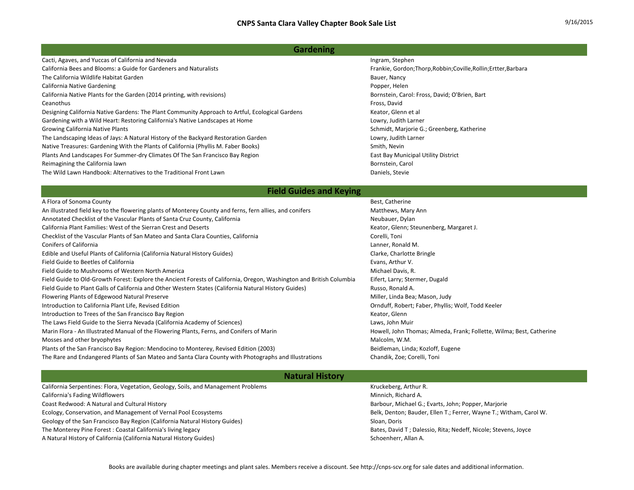## **Gardening**

| ------                                                                                          |                                                                  |
|-------------------------------------------------------------------------------------------------|------------------------------------------------------------------|
| The Wild Lawn Handbook: Alternatives to the Traditional Front Lawn                              | Daniels, Stevie                                                  |
| Reimagining the California lawn                                                                 | Bornstein, Carol                                                 |
| Plants And Landscapes For Summer-dry Climates Of The San Francisco Bay Region                   | East Bay Municipal Utility District                              |
| Native Treasures: Gardening With the Plants of California (Phyllis M. Faber Books)              | Smith, Nevin                                                     |
| The Landscaping Ideas of Jays: A Natural History of the Backyard Restoration Garden             | Lowry, Judith Larner                                             |
| <b>Growing California Native Plants</b>                                                         | Schmidt, Marjorie G.; Greenberg, Katherine                       |
| Gardening with a Wild Heart: Restoring California's Native Landscapes at Home                   | Lowry, Judith Larner                                             |
| Designing California Native Gardens: The Plant Community Approach to Artful, Ecological Gardens | Keator, Glenn et al                                              |
| Ceanothus                                                                                       | Fross, David                                                     |
| California Native Plants for the Garden (2014 printing, with revisions)                         | Bornstein, Carol: Fross, David; O'Brien, Bart                    |
| California Native Gardening                                                                     | Popper, Helen                                                    |
| The California Wildlife Habitat Garden                                                          | Bauer, Nancy                                                     |
| California Bees and Blooms: a Guide for Gardeners and Naturalists                               | Frankie, Gordon; Thorp, Robbin; Coville, Rollin; Ertter, Barbara |
| Cacti, Agaves, and Yuccas of California and Nevada                                              | Ingram, Stephen                                                  |

## **Field Guides and Keying**

| A Flora of Sonoma County                                                                                             | Best, Catherine                                                      |
|----------------------------------------------------------------------------------------------------------------------|----------------------------------------------------------------------|
| An illustrated field key to the flowering plants of Monterey County and ferns, fern allies, and conifers             | Matthews, Mary Ann                                                   |
| Annotated Checklist of the Vascular Plants of Santa Cruz County, California                                          | Neubauer, Dylan                                                      |
| California Plant Families: West of the Sierran Crest and Deserts                                                     | Keator, Glenn; Steunenberg, Margaret J.                              |
| Checklist of the Vascular Plants of San Mateo and Santa Clara Counties, California                                   | Corelli, Toni                                                        |
| <b>Conifers of California</b>                                                                                        | Lanner, Ronald M.                                                    |
| Edible and Useful Plants of California (California Natural History Guides)                                           | Clarke, Charlotte Bringle                                            |
| Field Guide to Beetles of California                                                                                 | Evans, Arthur V.                                                     |
| Field Guide to Mushrooms of Western North America                                                                    | Michael Davis, R.                                                    |
| Field Guide to Old-Growth Forest: Explore the Ancient Forests of California, Oregon, Washington and British Columbia | Eifert, Larry; Stermer, Dugald                                       |
| Field Guide to Plant Galls of California and Other Western States (California Natural History Guides)                | Russo, Ronald A.                                                     |
| Flowering Plants of Edgewood Natural Preserve                                                                        | Miller, Linda Bea; Mason, Judy                                       |
| Introduction to California Plant Life, Revised Edition                                                               | Ornduff, Robert; Faber, Phyllis; Wolf, Todd Keeler                   |
| Introduction to Trees of the San Francisco Bay Region                                                                | Keator, Glenn                                                        |
| The Laws Field Guide to the Sierra Nevada (California Academy of Sciences)                                           | Laws, John Muir                                                      |
| Marin Flora - An Illustrated Manual of the Flowering Plants, Ferns, and Conifers of Marin                            | Howell, John Thomas; Almeda, Frank; Follette, Wilma; Best, Catherine |
| Mosses and other bryophytes                                                                                          | Malcolm, W.M.                                                        |
| Plants of the San Francisco Bay Region: Mendocino to Monterey, Revised Edition (2003)                                | Beidleman, Linda; Kozloff, Eugene                                    |
| The Rare and Endangered Plants of San Mateo and Santa Clara County with Photographs and Illustrations                | Chandik, Zoe; Corelli, Toni                                          |
|                                                                                                                      |                                                                      |

## **Natural History**

California Serpentines: Flora, Vegetation, Geology, Soils, and Management Problems Krucket Kruckeberg, Arthur R. California's Fading Wildflowers **Minnich, Richard A.** California's Fading Wildflowers Minnich, Richard A. Coast Redwood: A Natural and Cultural History Barbour, Michael G.; Evarts, John; Popper, Marjorie Ecology, Conservation, and Management of Vernal Pool Ecosystems Belk, Denton; Bauder, Ellen T.; Ferrer, Wayne T.; Witham, Carol W. Geology of the San Francisco Bay Region (California Natural History Guides) School School Sloan, Doris Sloan, Doris The Monterey Pine Forest : Coastal California's living legacy Bates, David T ; Dalessio, Rita; Nedeff, Nicole; Stevens, Joyce A Natural History of California (California Natural History Guides) Schoenherr, Allan A.